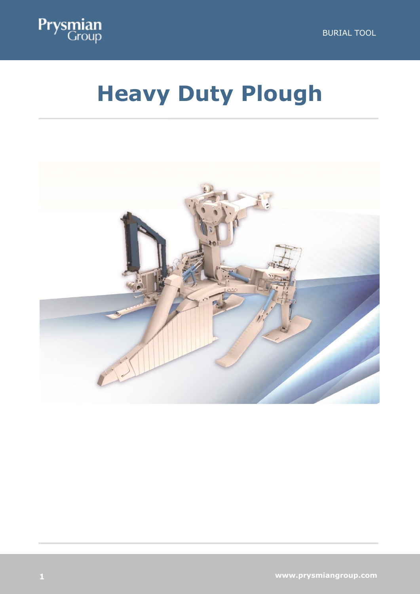

# **Heavy Duty Plough**

**H**